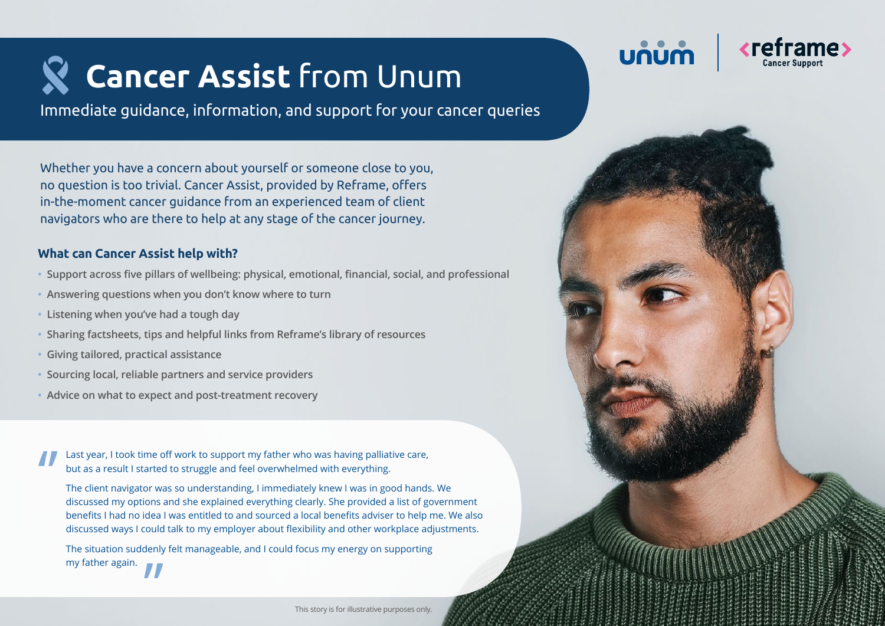# **Cancer Assist** from Unum

Immediate guidance, information, and support for your cancer queries

UNUC

Whether you have a concern about yourself or someone close to you, no question is too trivial. Cancer Assist, provided by Reframe, offers in-the-moment cancer guidance from an experienced team of client navigators who are there to help at any stage of the cancer journey.

### **What can Cancer Assist help with?**

- **• Support across five pillars of wellbeing: physical, emotional, financial, social, and professional**
- **• Answering questions when you don't know where to turn**
- **• Listening when you've had a tough day**
- **• Sharing factsheets, tips and helpful links from Reframe's library of resources**
- **• Giving tailored, practical assistance**
- **• Sourcing local, reliable partners and service providers**
- **• Advice on what to expect and post-treatment recovery**

'' Last year, I took time off work to support my father who was having palliative care, but as a result I started to struggle and feel overwhelmed with everything.

The client navigator was so understanding, I immediately knew I was in good hands. We discussed my options and she explained everything clearly. She provided a list of government benefits I had no idea I was entitled to and sourced a local benefits adviser to help me. We also discussed ways I could talk to my employer about flexibility and other workplace adjustments.

**''** The situation suddenly felt manageable, and I could focus my energy on supporting my father again.